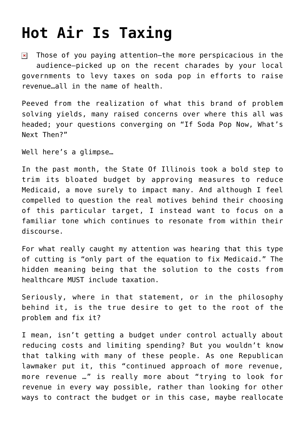## **[Hot Air Is Taxing](https://bernardgoldberg.com/hot-air-is-taxing/)**

Those of you paying attention—the more [perspicacious](http://www.factorwords.com/definition/default.aspx?word=Perspicacious) in the  $\pmb{\times}$ audience—picked up on the recent charades by your local governments to levy taxes on soda pop in efforts to raise revenue…all in the name of health.

Peeved from the realization of what this brand of problem solving yields, many raised concerns over where this all was headed; your questions converging on "If Soda Pop Now, What's Next Then?"

Well here's a glimpse…

In the past month, [the State Of Illinois took a bold step](http://www.chicagotribune.com/news/politics/clout/chi-health-care-cuts-gain-team-in-illinois-house-20120524,0,7207185.story) to trim its bloated budget by approving measures to reduce Medicaid, a move surely to impact many. And although I feel compelled to question the real motives behind their choosing of this particular target, I instead want to focus on a familiar tone which continues to resonate from within their discourse.

For what really caught my attention was hearing that this type of cutting is "only part of the equation to fix Medicaid." The hidden meaning being that the solution to the costs from healthcare MUST include taxation.

Seriously, where in that statement, or in the philosophy behind it, is the true desire to get to the root of the problem and fix it?

I mean, isn't getting a budget under control actually about reducing costs and limiting spending? But you wouldn't know that talking with many of these people. As one Republican lawmaker put it, this "continued approach of more revenue, more revenue …" is really more about "trying to look for revenue in every way possible, rather than looking for other ways to contract the budget or in this case, maybe reallocate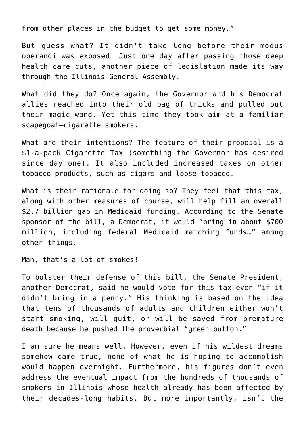from other places in the budget to get some money."

But guess what? It didn't take long before their [modus](http://illinoisissuesblog.blogspot.com/2012/05/senate-approves-tobacco-tax-increase.html) [operandi](http://illinoisissuesblog.blogspot.com/2012/05/senate-approves-tobacco-tax-increase.html) was exposed. Just one day after passing those deep health care cuts, another piece of legislation made its way through the Illinois General Assembly.

What did they do? Once again, the Governor and his Democrat allies reached into their old bag of tricks and pulled out their magic wand. Yet this time they took aim at a familiar scapegoat—cigarette smokers.

What are their intentions? The feature of [their proposal](http://www.ilga.gov/legislation/97/SB/PDF/09700SB2194ham003.pdf) is a \$1-a-pack Cigarette Tax ([something the Governor has desired](http://www.sj-r.com/news/x108131292/Tax-hikes-furloughs-highlight-state-budget-plan) [since day one\)](http://www.sj-r.com/news/x108131292/Tax-hikes-furloughs-highlight-state-budget-plan). It also included increased taxes on other tobacco products, such as cigars and loose tobacco.

What is their rationale for doing so? They feel that this tax, along with other measures of course, will help fill an overall \$2.7 billion gap in Medicaid funding. According to the Senate sponsor of the bill, a Democrat, it would "bring in about \$700 million, including federal Medicaid matching funds…" among other things.

Man, that's a lot of smokes!

To bolster their defense of this bill, the Senate President, another Democrat, said he would vote for this tax even "if it didn't bring in a penny." His thinking is based on the idea that tens of thousands of adults and children either won't start smoking, will quit, or will be saved from premature death because he pushed the proverbial "green button."

I am sure he means well. However, even if his wildest dreams somehow came true, none of what he is hoping to accomplish would happen overnight. Furthermore, his figures don't even address the eventual impact from the hundreds of thousands of smokers in Illinois whose health already has been affected by their decades-long habits. But more importantly, isn't the